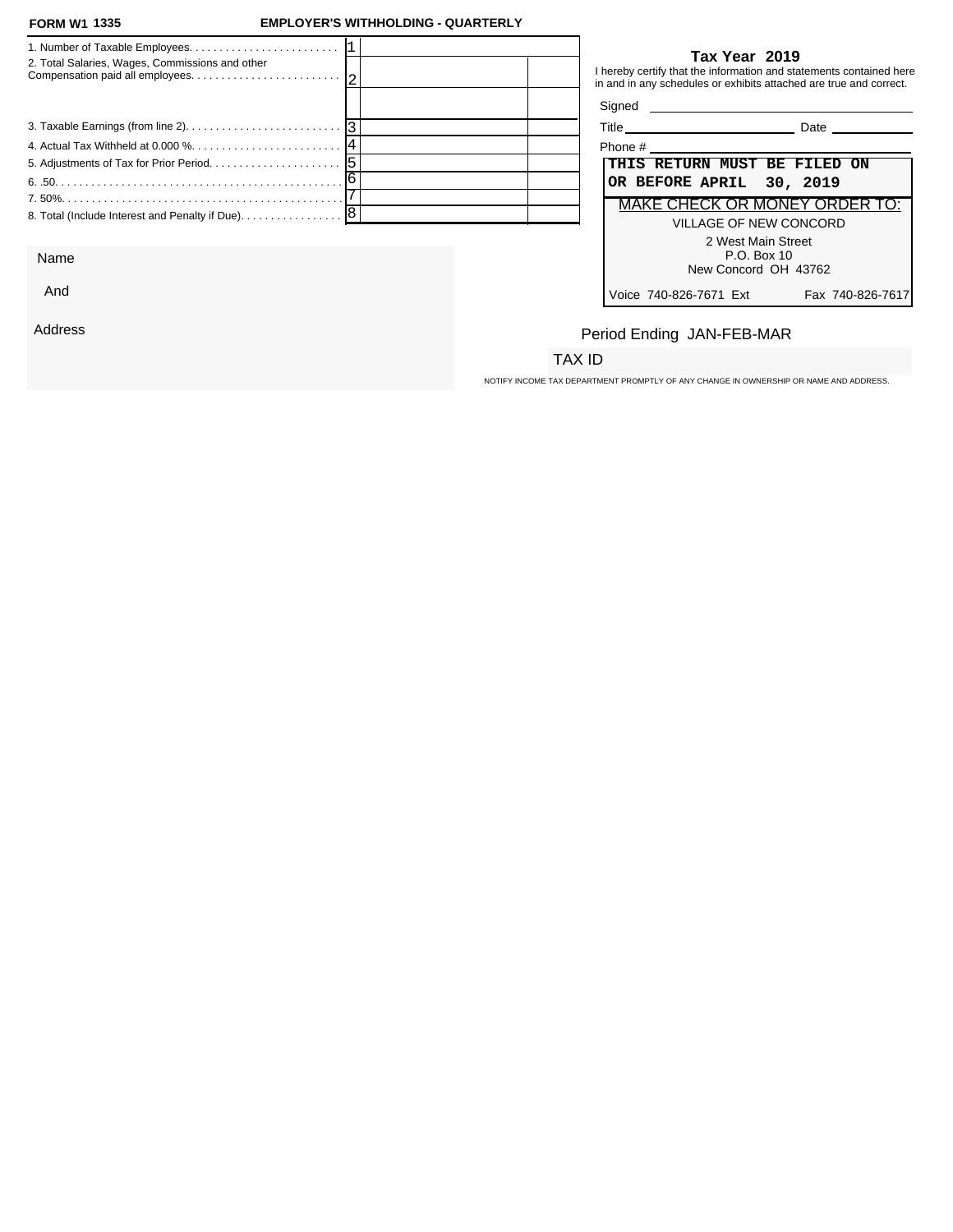#### **FORM W1 1335**

### **FORM W1 EMPLOYER'S WITHHOLDING - QUARTERLY**

| 2. Total Salaries, Wages, Commissions and other                                                 | Tax Year 2019<br>I hereby certify that the information and statements contained here<br>in and in any schedules or exhibits attached are true and correct. |
|-------------------------------------------------------------------------------------------------|------------------------------------------------------------------------------------------------------------------------------------------------------------|
|                                                                                                 | Signed                                                                                                                                                     |
| 3. Taxable Earnings (from line 2). $\ldots$ . $\ldots$ . $\ldots$ . $\ldots$ . $\ldots$ . $ 3 $ | <b>Date Date</b>                                                                                                                                           |
|                                                                                                 | Phone #                                                                                                                                                    |
|                                                                                                 | THIS RETURN MUST BE FILED ON                                                                                                                               |
|                                                                                                 | OR BEFORE APRIL 30, 2019                                                                                                                                   |
|                                                                                                 | MAKE CHECK OR MONEY ORDER TO:                                                                                                                              |
| 8. Total (Include Interest and Penalty if Due). 8                                               | VILLAGE OF NEW CONCORD                                                                                                                                     |
|                                                                                                 | 2 West Main Street                                                                                                                                         |

Name

And

Address

### **Tax Year 2019**

| Title                         | Date             |
|-------------------------------|------------------|
| Phone #                       |                  |
| THIS RETURN MUST BE FILED ON  |                  |
| OR BEFORE APRIL 30, 2019      |                  |
| MAKE CHECK OR MONEY ORDER TO: |                  |
| VILLAGE OF NEW CONCORD        |                  |
| 2 West Main Street            |                  |
| P.O. Box 10                   |                  |
| New Concord OH 43762          |                  |
| Voice 740-826-7671 Ext        | Fax 740-826-7617 |

# Period Ending JAN-FEB-MAR

## TAX ID

NOTIFY INCOME TAX DEPARTMENT PROMPTLY OF ANY CHANGE IN OWNERSHIP OR NAME AND ADDRESS.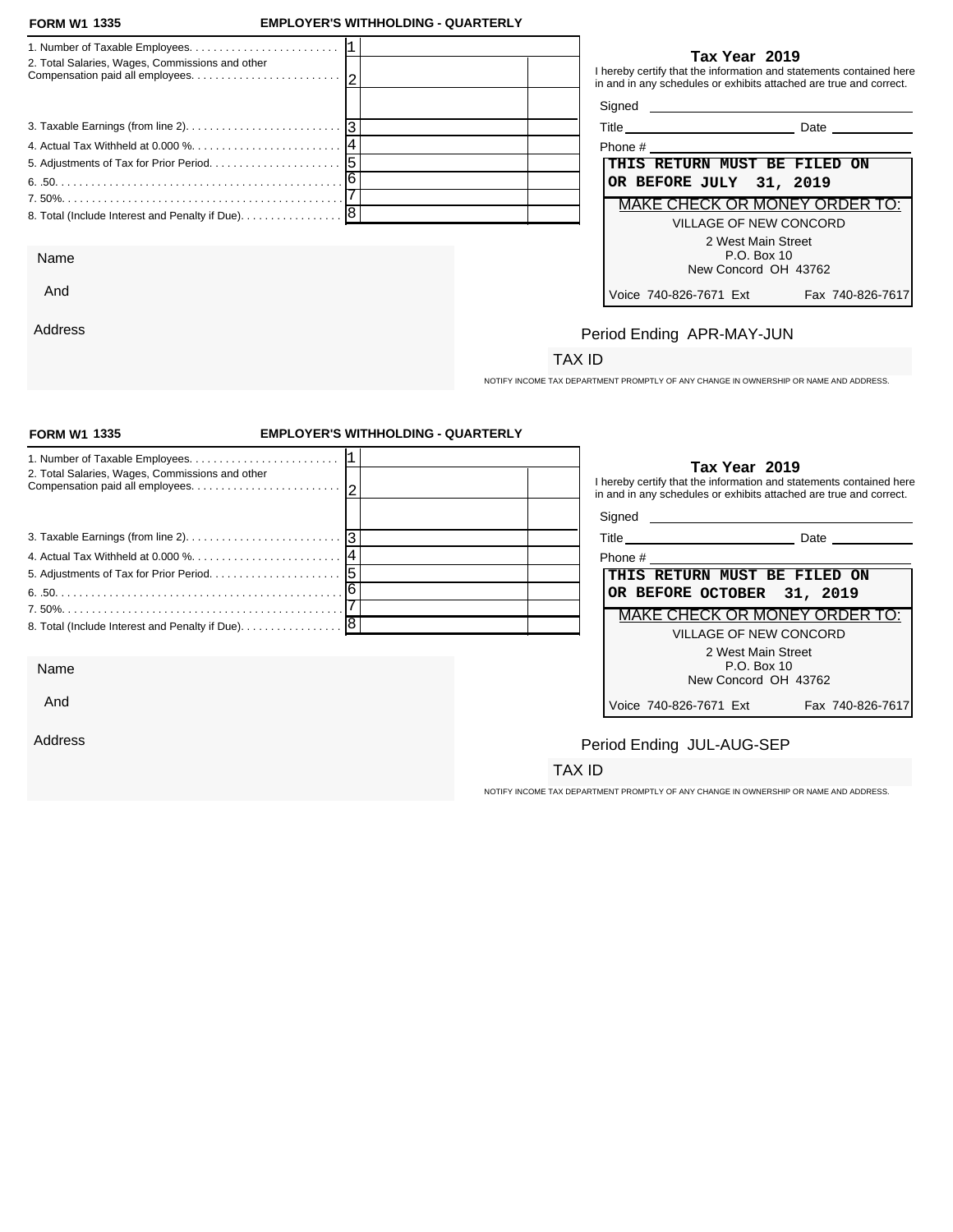#### **FORM W1 1335**

And

Address

### **FORM W1 EMPLOYER'S WITHHOLDING - QUARTERLY**

| 2. Total Salaries, Wages, Commissions and other | Tax Year 2019<br>I hereby certify that the information and statements contained here<br>in and in any schedules or exhibits attached are true and correct. |
|-------------------------------------------------|------------------------------------------------------------------------------------------------------------------------------------------------------------|
|                                                 |                                                                                                                                                            |
|                                                 | <b>Date Date</b>                                                                                                                                           |
|                                                 | Phone #                                                                                                                                                    |
|                                                 | <b>THIS RETURN MUST BE FILED ON</b>                                                                                                                        |
|                                                 | OR BEFORE JULY 31, 2019                                                                                                                                    |
|                                                 | MAKE CHECK OR MONEY ORDER TO:                                                                                                                              |
|                                                 | VILLAGE OF NEW CONCORD                                                                                                                                     |
|                                                 | 2 West Main Street                                                                                                                                         |
| Name                                            | P.O. Box 10                                                                                                                                                |

### **Tax Year 2019**

| Phone #                             |                  |
|-------------------------------------|------------------|
| THIS RETURN MUST BE FILED ON        |                  |
| OR BEFORE JULY 31, 2019             |                  |
| MAKE CHECK OR MONEY ORDER TO:       |                  |
| VILLAGE OF NEW CONCORD              |                  |
| 2 West Main Street<br>$P.O.$ Box 10 |                  |
| New Concord OH 43762                |                  |
| Voice 740-826-7671 Ext              | Fax 740-826-7617 |

# Period Ending APR-MAY-JUN

## TAX ID

NOTIFY INCOME TAX DEPARTMENT PROMPTLY OF ANY CHANGE IN OWNERSHIP OR NAME AND ADDRESS.

| <b>FORM W1 1335</b>                             | <b>EMPLOYER'S WITHHOLDING - QUARTERLY</b> |                                                                                                                                                            |
|-------------------------------------------------|-------------------------------------------|------------------------------------------------------------------------------------------------------------------------------------------------------------|
| 2. Total Salaries, Wages, Commissions and other |                                           | Tax Year 2019<br>I hereby certify that the information and statements contained here<br>in and in any schedules or exhibits attached are true and correct. |
|                                                 |                                           | Signed <b>Signed</b>                                                                                                                                       |
|                                                 |                                           |                                                                                                                                                            |
|                                                 |                                           | THIS RETURN MUST BE FILED ON                                                                                                                               |
|                                                 |                                           | OR BEFORE OCTOBER 31, 2019                                                                                                                                 |
|                                                 |                                           | <b>MAKE CHECK OR MONEY ORDER TO:</b>                                                                                                                       |
| 8. Total (Include Interest and Penalty if Due). | 8                                         | <b>VILLAGE OF NEW CONCORD</b>                                                                                                                              |
| Name                                            |                                           | 2 West Main Street<br>P.O. Box 10<br>New Concord OH 43762                                                                                                  |
| And                                             |                                           | Fax 740-826-7617<br>Voice 740-826-7671 Ext                                                                                                                 |
| Address                                         |                                           | Period Ending JUL-AUG-SEP                                                                                                                                  |
|                                                 |                                           | TAX ID                                                                                                                                                     |
|                                                 |                                           | NOTIFY INCOME TAX DEPARTMENT PROMPTLY OF ANY CHANGE IN OWNERSHIP OR NAME AND ADDRESS.                                                                      |